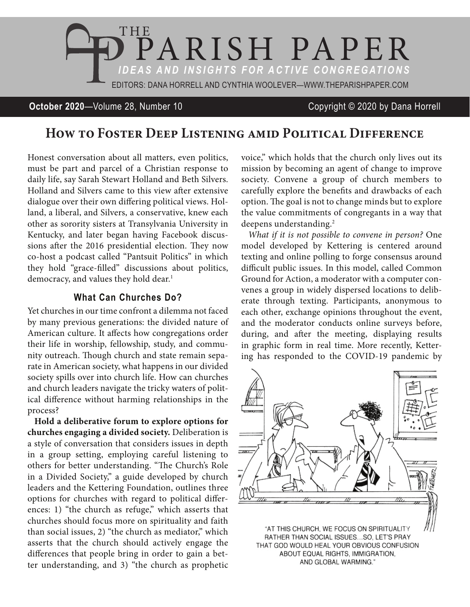

#### **October 2020**—Volume 28, Number 10 Copyright © 2020 by Dana Horrell

# **How to Foster Deep Listening amid Political Difference**

Honest conversation about all matters, even politics, must be part and parcel of a Christian response to daily life, say Sarah Stewart Holland and Beth Silvers. Holland and Silvers came to this view after extensive dialogue over their own differing political views. Holland, a liberal, and Silvers, a conservative, knew each other as sorority sisters at Transylvania University in Kentucky, and later began having Facebook discussions after the 2016 presidential election. They now co-host a podcast called "Pantsuit Politics" in which they hold "grace-filled" discussions about politics, democracy, and values they hold dear.<sup>1</sup>

### **What Can Churches Do?**

Yet churches in our time confront a dilemma not faced by many previous generations: the divided nature of American culture. It affects how congregations order their life in worship, fellowship, study, and community outreach. Though church and state remain separate in American society, what happens in our divided society spills over into church life. How can churches and church leaders navigate the tricky waters of political difference without harming relationships in the process?

**Hold a deliberative forum to explore options for churches engaging a divided society.** Deliberation is a style of conversation that considers issues in depth in a group setting, employing careful listening to others for better understanding. "The Church's Role in a Divided Society," a guide developed by church leaders and the Kettering Foundation, outlines three options for churches with regard to political differences: 1) "the church as refuge," which asserts that churches should focus more on spirituality and faith than social issues, 2) "the church as mediator," which asserts that the church should actively engage the differences that people bring in order to gain a better understanding, and 3) "the church as prophetic

voice," which holds that the church only lives out its mission by becoming an agent of change to improve society. Convene a group of church members to carefully explore the benefits and drawbacks of each option. The goal is not to change minds but to explore the value commitments of congregants in a way that deepens understanding.<sup>2</sup>

*What if it is not possible to convene in person?* One model developed by Kettering is centered around texting and online polling to forge consensus around difficult public issues. In this model, called Common Ground for Action, a moderator with a computer convenes a group in widely dispersed locations to deliberate through texting. Participants, anonymous to each other, exchange opinions throughout the event, and the moderator conducts online surveys before, during, and after the meeting, displaying results in graphic form in real time. More recently, Kettering has responded to the COVID-19 pandemic by